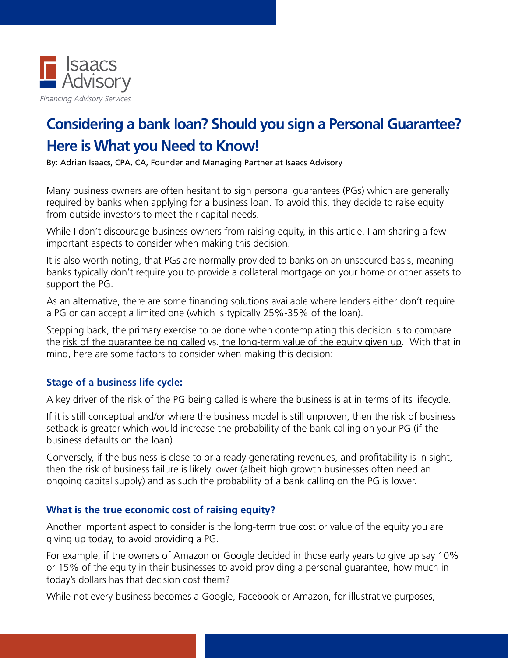

## **Considering a bank loan? Should you sign a Personal Guarantee? Here is What you Need to Know!**

By: Adrian Isaacs, CPA, CA, Founder and Managing Partner at Isaacs Advisory

Many business owners are often hesitant to sign personal guarantees (PGs) which are generally required by banks when applying for a business loan. To avoid this, they decide to raise equity from outside investors to meet their capital needs.

While I don't discourage business owners from raising equity, in this article, I am sharing a few important aspects to consider when making this decision.

It is also worth noting, that PGs are normally provided to banks on an unsecured basis, meaning banks typically don't require you to provide a collateral mortgage on your home or other assets to support the PG.

As an alternative, there are some financing solutions available where lenders either don't require a PG or can accept a limited one (which is typically 25%-35% of the loan).

Stepping back, the primary exercise to be done when contemplating this decision is to compare the risk of the guarantee being called vs. the long-term value of the equity given up. With that in mind, here are some factors to consider when making this decision:

## **Stage of a business life cycle:**

A key driver of the risk of the PG being called is where the business is at in terms of its lifecycle.

If it is still conceptual and/or where the business model is still unproven, then the risk of business setback is greater which would increase the probability of the bank calling on your PG (if the business defaults on the loan).

Conversely, if the business is close to or already generating revenues, and profitability is in sight, then the risk of business failure is likely lower (albeit high growth businesses often need an ongoing capital supply) and as such the probability of a bank calling on the PG is lower.

## **What is the true economic cost of raising equity?**

Another important aspect to consider is the long-term true cost or value of the equity you are giving up today, to avoid providing a PG.

For example, if the owners of Amazon or Google decided in those early years to give up say 10% or 15% of the equity in their businesses to avoid providing a personal guarantee, how much in today's dollars has that decision cost them?

While not every business becomes a Google, Facebook or Amazon, for illustrative purposes,